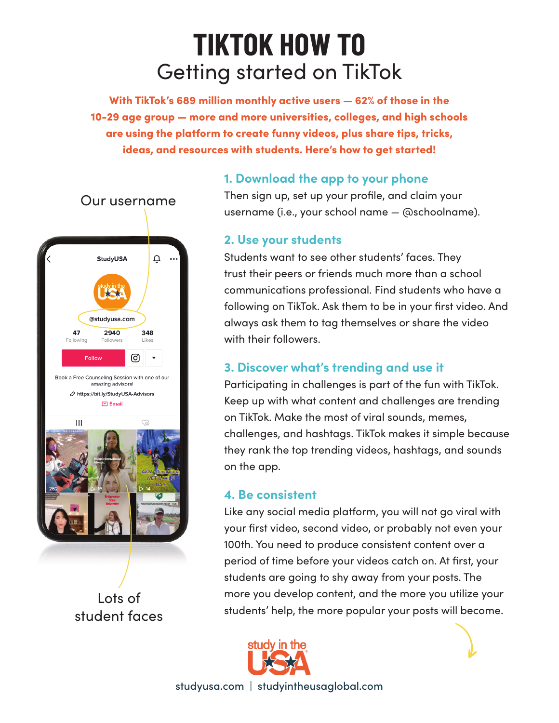# Getting started on TikTok **TIKTOK HOW TO**

With TikTok's 689 million monthly active users — 62% of those in the 10-29 age group — more and more universities, colleges, and high schools are using the platform to create funny videos, plus share tips, tricks, ideas, and resources with students. Here's how to get started!



Lots of student faces

### **1. Download the app to your phone**

Then sign up, set up your profile, and claim your username (i.e., your school name — @schoolname).

#### **2. Use your students**

Students want to see other students' faces. They trust their peers or friends much more than a school communications professional. Find students who have a following on TikTok. Ask them to be in your first video. And always ask them to tag themselves or share the video with their followers.

## **3. Discover what's trending and use it**

Participating in challenges is part of the fun with TikTok. Keep up with what content and challenges are trending on TikTok. Make the most of viral sounds, memes, challenges, and hashtags. TikTok makes it simple because they rank the top trending videos, hashtags, and sounds on the app.

#### **4. Be consistent**

Like any social media platform, you will not go viral with your first video, second video, or probably not even your 100th. You need to produce consistent content over a period of time before your videos catch on. At first, your students are going to shy away from your posts. The more you develop content, and the more you utilize your students' help, the more popular your posts will become.



studyusa.com | studyintheusaglobal.com